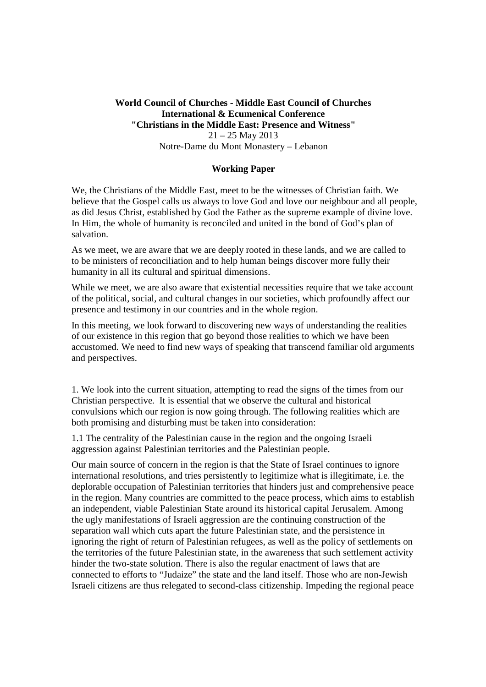## **World Council of Churches - Middle East Council of Churches International & Ecumenical Conference "Christians in the Middle East: Presence and Witness"** 21 – 25 May 2013

Notre-Dame du Mont Monastery – Lebanon

# **Working Paper**

We, the Christians of the Middle East, meet to be the witnesses of Christian faith. We believe that the Gospel calls us always to love God and love our neighbour and all people, as did Jesus Christ, established by God the Father as the supreme example of divine love. In Him, the whole of humanity is reconciled and united in the bond of God's plan of salvation.

As we meet, we are aware that we are deeply rooted in these lands, and we are called to to be ministers of reconciliation and to help human beings discover more fully their humanity in all its cultural and spiritual dimensions.

While we meet, we are also aware that existential necessities require that we take account of the political, social, and cultural changes in our societies, which profoundly affect our presence and testimony in our countries and in the whole region.

In this meeting, we look forward to discovering new ways of understanding the realities of our existence in this region that go beyond those realities to which we have been accustomed. We need to find new ways of speaking that transcend familiar old arguments and perspectives.

1. We look into the current situation, attempting to read the signs of the times from our Christian perspective. It is essential that we observe the cultural and historical convulsions which our region is now going through. The following realities which are both promising and disturbing must be taken into consideration:

1.1 The centrality of the Palestinian cause in the region and the ongoing Israeli aggression against Palestinian territories and the Palestinian people.

Our main source of concern in the region is that the State of Israel continues to ignore international resolutions, and tries persistently to legitimize what is illegitimate, i.e. the deplorable occupation of Palestinian territories that hinders just and comprehensive peace in the region. Many countries are committed to the peace process, which aims to establish an independent, viable Palestinian State around its historical capital Jerusalem. Among the ugly manifestations of Israeli aggression are the continuing construction of the separation wall which cuts apart the future Palestinian state, and the persistence in ignoring the right of return of Palestinian refugees, as well as the policy of settlements on the territories of the future Palestinian state, in the awareness that such settlement activity hinder the two-state solution. There is also the regular enactment of laws that are connected to efforts to "Judaize" the state and the land itself. Those who are non-Jewish Israeli citizens are thus relegated to second-class citizenship. Impeding the regional peace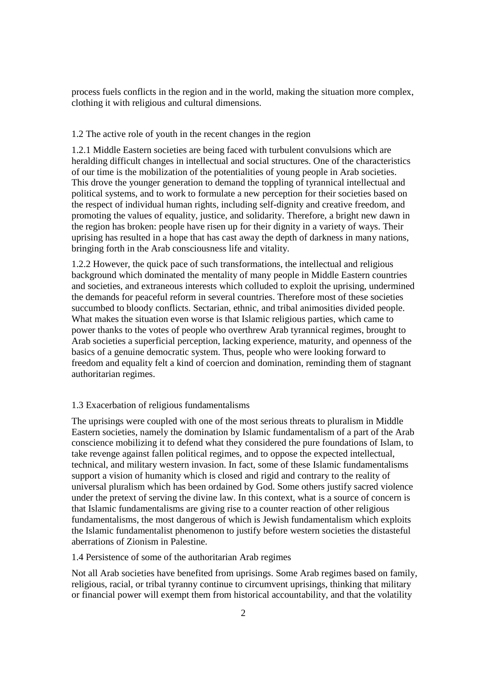process fuels conflicts in the region and in the world, making the situation more complex, clothing it with religious and cultural dimensions.

## 1.2 The active role of youth in the recent changes in the region

1.2.1 Middle Eastern societies are being faced with turbulent convulsions which are heralding difficult changes in intellectual and social structures. One of the characteristics of our time is the mobilization of the potentialities of young people in Arab societies. This drove the younger generation to demand the toppling of tyrannical intellectual and political systems, and to work to formulate a new perception for their societies based on the respect of individual human rights, including self-dignity and creative freedom, and promoting the values of equality, justice, and solidarity. Therefore, a bright new dawn in the region has broken: people have risen up for their dignity in a variety of ways. Their uprising has resulted in a hope that has cast away the depth of darkness in many nations, bringing forth in the Arab consciousness life and vitality.

1.2.2 However, the quick pace of such transformations, the intellectual and religious background which dominated the mentality of many people in Middle Eastern countries and societies, and extraneous interests which colluded to exploit the uprising, undermined the demands for peaceful reform in several countries. Therefore most of these societies succumbed to bloody conflicts. Sectarian, ethnic, and tribal animosities divided people. What makes the situation even worse is that Islamic religious parties, which came to power thanks to the votes of people who overthrew Arab tyrannical regimes, brought to Arab societies a superficial perception, lacking experience, maturity, and openness of the basics of a genuine democratic system. Thus, people who were looking forward to freedom and equality felt a kind of coercion and domination, reminding them of stagnant authoritarian regimes.

### 1.3 Exacerbation of religious fundamentalisms

The uprisings were coupled with one of the most serious threats to pluralism in Middle Eastern societies, namely the domination by Islamic fundamentalism of a part of the Arab conscience mobilizing it to defend what they considered the pure foundations of Islam, to take revenge against fallen political regimes, and to oppose the expected intellectual, technical, and military western invasion. In fact, some of these Islamic fundamentalisms support a vision of humanity which is closed and rigid and contrary to the reality of universal pluralism which has been ordained by God. Some others justify sacred violence under the pretext of serving the divine law. In this context, what is a source of concern is that Islamic fundamentalisms are giving rise to a counter reaction of other religious fundamentalisms, the most dangerous of which is Jewish fundamentalism which exploits the Islamic fundamentalist phenomenon to justify before western societies the distasteful aberrations of Zionism in Palestine.

#### 1.4 Persistence of some of the authoritarian Arab regimes

Not all Arab societies have benefited from uprisings. Some Arab regimes based on family, religious, racial, or tribal tyranny continue to circumvent uprisings, thinking that military or financial power will exempt them from historical accountability, and that the volatility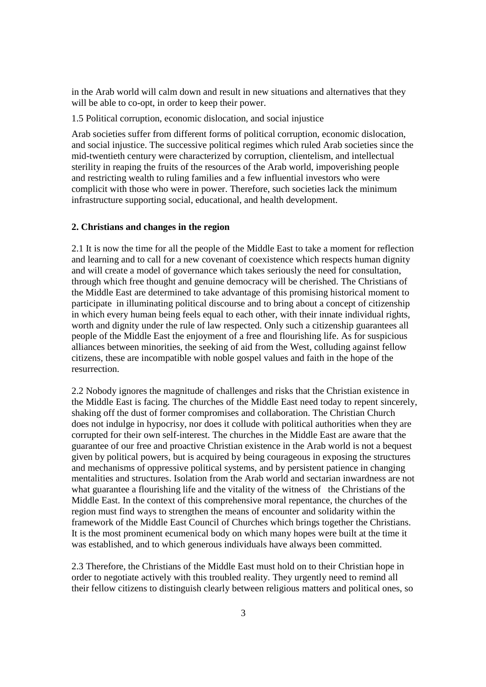in the Arab world will calm down and result in new situations and alternatives that they will be able to co-opt, in order to keep their power.

1.5 Political corruption, economic dislocation, and social injustice

Arab societies suffer from different forms of political corruption, economic dislocation, and social injustice. The successive political regimes which ruled Arab societies since the mid-twentieth century were characterized by corruption, clientelism, and intellectual sterility in reaping the fruits of the resources of the Arab world, impoverishing people and restricting wealth to ruling families and a few influential investors who were complicit with those who were in power. Therefore, such societies lack the minimum infrastructure supporting social, educational, and health development.

#### **2. Christians and changes in the region**

2.1 It is now the time for all the people of the Middle East to take a moment for reflection and learning and to call for a new covenant of coexistence which respects human dignity and will create a model of governance which takes seriously the need for consultation, through which free thought and genuine democracy will be cherished. The Christians of the Middle East are determined to take advantage of this promising historical moment to participate in illuminating political discourse and to bring about a concept of citizenship in which every human being feels equal to each other, with their innate individual rights, worth and dignity under the rule of law respected. Only such a citizenship guarantees all people of the Middle East the enjoyment of a free and flourishing life. As for suspicious alliances between minorities, the seeking of aid from the West, colluding against fellow citizens, these are incompatible with noble gospel values and faith in the hope of the resurrection.

2.2 Nobody ignores the magnitude of challenges and risks that the Christian existence in the Middle East is facing. The churches of the Middle East need today to repent sincerely, shaking off the dust of former compromises and collaboration. The Christian Church does not indulge in hypocrisy, nor does it collude with political authorities when they are corrupted for their own self-interest. The churches in the Middle East are aware that the guarantee of our free and proactive Christian existence in the Arab world is not a bequest given by political powers, but is acquired by being courageous in exposing the structures and mechanisms of oppressive political systems, and by persistent patience in changing mentalities and structures. Isolation from the Arab world and sectarian inwardness are not what guarantee a flourishing life and the vitality of the witness of the Christians of the Middle East. In the context of this comprehensive moral repentance, the churches of the region must find ways to strengthen the means of encounter and solidarity within the framework of the Middle East Council of Churches which brings together the Christians. It is the most prominent ecumenical body on which many hopes were built at the time it was established, and to which generous individuals have always been committed.

2.3 Therefore, the Christians of the Middle East must hold on to their Christian hope in order to negotiate actively with this troubled reality. They urgently need to remind all their fellow citizens to distinguish clearly between religious matters and political ones, so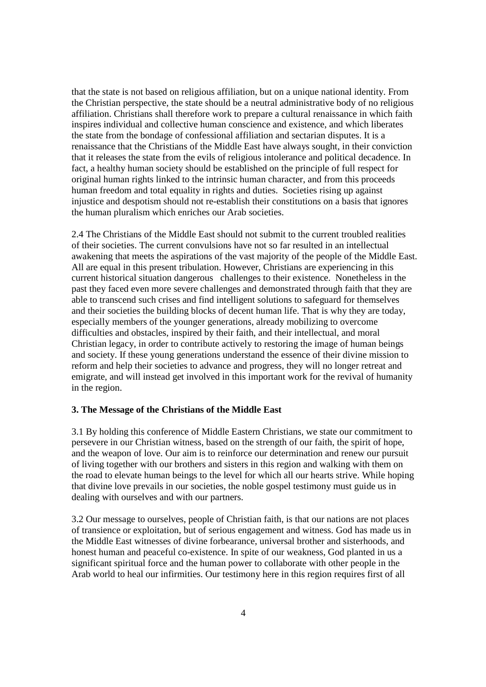that the state is not based on religious affiliation, but on a unique national identity. From the Christian perspective, the state should be a neutral administrative body of no religious affiliation. Christians shall therefore work to prepare a cultural renaissance in which faith inspires individual and collective human conscience and existence, and which liberates the state from the bondage of confessional affiliation and sectarian disputes. It is a renaissance that the Christians of the Middle East have always sought, in their conviction that it releases the state from the evils of religious intolerance and political decadence. In fact, a healthy human society should be established on the principle of full respect for original human rights linked to the intrinsic human character, and from this proceeds human freedom and total equality in rights and duties. Societies rising up against injustice and despotism should not re-establish their constitutions on a basis that ignores the human pluralism which enriches our Arab societies.

2.4 The Christians of the Middle East should not submit to the current troubled realities of their societies. The current convulsions have not so far resulted in an intellectual awakening that meets the aspirations of the vast majority of the people of the Middle East. All are equal in this present tribulation. However, Christians are experiencing in this current historical situation dangerous challenges to their existence. Nonetheless in the past they faced even more severe challenges and demonstrated through faith that they are able to transcend such crises and find intelligent solutions to safeguard for themselves and their societies the building blocks of decent human life. That is why they are today, especially members of the younger generations, already mobilizing to overcome difficulties and obstacles, inspired by their faith, and their intellectual, and moral Christian legacy, in order to contribute actively to restoring the image of human beings and society. If these young generations understand the essence of their divine mission to reform and help their societies to advance and progress, they will no longer retreat and emigrate, and will instead get involved in this important work for the revival of humanity in the region.

#### **3. The Message of the Christians of the Middle East**

3.1 By holding this conference of Middle Eastern Christians, we state our commitment to persevere in our Christian witness, based on the strength of our faith, the spirit of hope, and the weapon of love. Our aim is to reinforce our determination and renew our pursuit of living together with our brothers and sisters in this region and walking with them on the road to elevate human beings to the level for which all our hearts strive. While hoping that divine love prevails in our societies, the noble gospel testimony must guide us in dealing with ourselves and with our partners.

3.2 Our message to ourselves, people of Christian faith, is that our nations are not places of transience or exploitation, but of serious engagement and witness. God has made us in the Middle East witnesses of divine forbearance, universal brother and sisterhoods, and honest human and peaceful co-existence. In spite of our weakness, God planted in us a significant spiritual force and the human power to collaborate with other people in the Arab world to heal our infirmities. Our testimony here in this region requires first of all